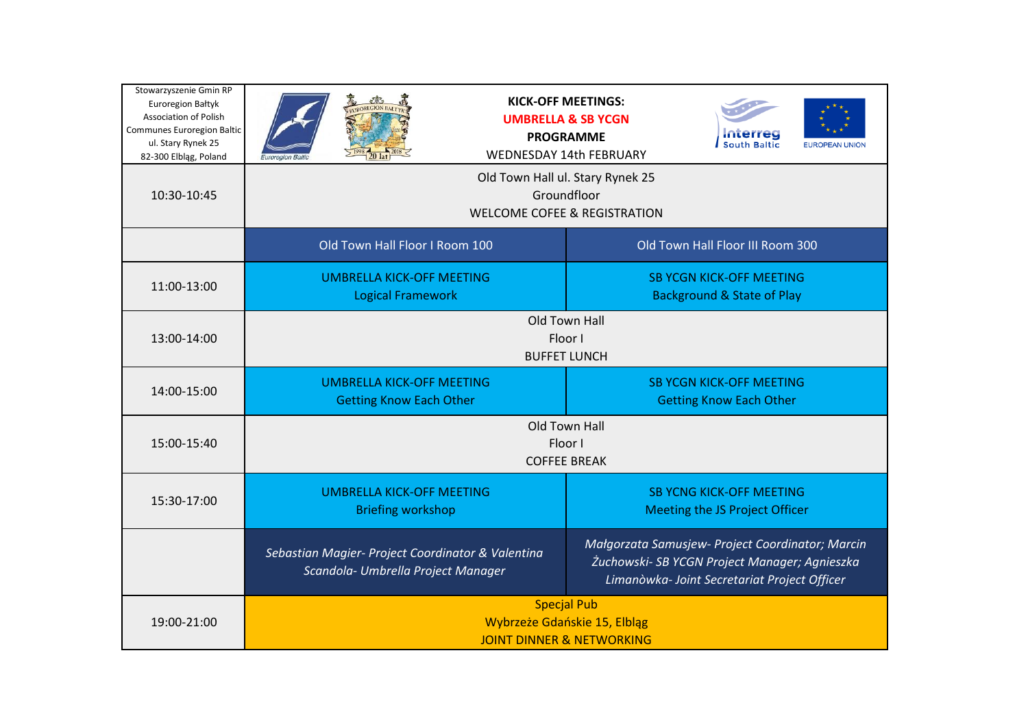| Stowarzyszenie Gmin RP<br><b>Euroregion Bałtyk</b><br><b>Association of Polish</b><br>Communes Euroregion Baltic<br>ul. Stary Rynek 25<br>82-300 Elbląg, Poland | <b>TIROREGION BAF</b><br><b>UMBRELLA &amp; SB YCGN</b><br><b>PROGRAMME</b><br><b>WEDNESDAY 14th FEBRUARY</b><br>Euroregion Ba            | <b>KICK-OFF MEETINGS:</b><br><b>FUROPEAN UNION</b>                                                                                                |
|-----------------------------------------------------------------------------------------------------------------------------------------------------------------|------------------------------------------------------------------------------------------------------------------------------------------|---------------------------------------------------------------------------------------------------------------------------------------------------|
| 10:30-10:45                                                                                                                                                     | Old Town Hall ul. Stary Rynek 25<br>Groundfloor<br><b>WELCOME COFEE &amp; REGISTRATION</b>                                               |                                                                                                                                                   |
|                                                                                                                                                                 | Old Town Hall Floor I Room 100                                                                                                           | Old Town Hall Floor III Room 300                                                                                                                  |
| 11:00-13:00                                                                                                                                                     | <b>UMBRELLA KICK-OFF MEETING</b><br><b>SB YCGN KICK-OFF MEETING</b><br><b>Background &amp; State of Play</b><br><b>Logical Framework</b> |                                                                                                                                                   |
| 13:00-14:00                                                                                                                                                     | <b>Old Town Hall</b><br>Floor I<br><b>BUFFET LUNCH</b>                                                                                   |                                                                                                                                                   |
| 14:00-15:00                                                                                                                                                     | <b>UMBRELLA KICK-OFF MEETING</b><br><b>Getting Know Each Other</b>                                                                       | <b>SB YCGN KICK-OFF MEETING</b><br><b>Getting Know Each Other</b>                                                                                 |
| 15:00-15:40                                                                                                                                                     | Old Town Hall<br>Floor I<br><b>COFFEE BREAK</b>                                                                                          |                                                                                                                                                   |
| 15:30-17:00                                                                                                                                                     | <b>UMBRELLA KICK-OFF MEETING</b><br><b>Briefing workshop</b>                                                                             | <b>SB YCNG KICK-OFF MEETING</b><br>Meeting the JS Project Officer                                                                                 |
|                                                                                                                                                                 | Sebastian Magier- Project Coordinator & Valentina<br>Scandola- Umbrella Project Manager                                                  | Małgorzata Samusjew- Project Coordinator; Marcin<br>Żuchowski- SB YCGN Project Manager; Agnieszka<br>Limanòwka- Joint Secretariat Project Officer |
| 19:00-21:00                                                                                                                                                     | <b>Specjal Pub</b><br>Wybrzeże Gdańskie 15, Elbląg<br><b>JOINT DINNER &amp; NETWORKING</b>                                               |                                                                                                                                                   |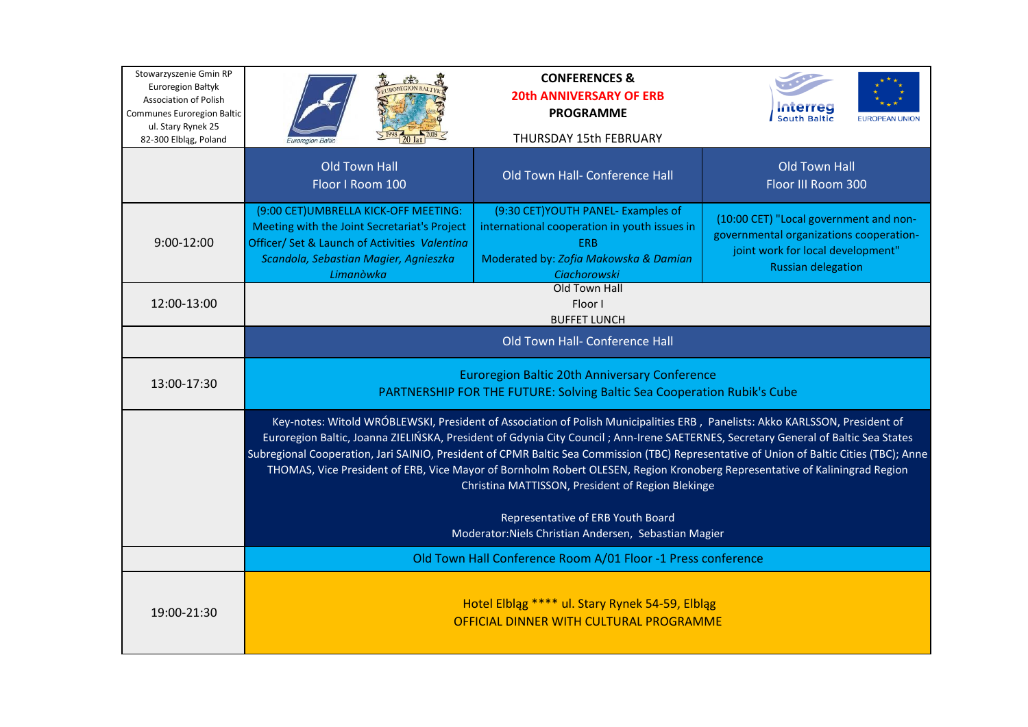| Stowarzyszenie Gmin RP<br><b>Euroregion Bałtyk</b><br><b>Association of Polish</b><br><b>Communes Euroregion Baltic</b><br>ul. Stary Rynek 25 | <b>REGION BAJ</b>                                                                                                                                                                                                                                                                                                                                                                                                                                                                                                                                                                                | <b>CONFERENCES &amp;</b><br><b>20th ANNIVERSARY OF ERB</b><br><b>PROGRAMME</b>                                                                                    | <b>South Baltic</b><br><b>EUROPEAN UNION</b>                                                                                                        |
|-----------------------------------------------------------------------------------------------------------------------------------------------|--------------------------------------------------------------------------------------------------------------------------------------------------------------------------------------------------------------------------------------------------------------------------------------------------------------------------------------------------------------------------------------------------------------------------------------------------------------------------------------------------------------------------------------------------------------------------------------------------|-------------------------------------------------------------------------------------------------------------------------------------------------------------------|-----------------------------------------------------------------------------------------------------------------------------------------------------|
| 82-300 Elbląg, Poland                                                                                                                         |                                                                                                                                                                                                                                                                                                                                                                                                                                                                                                                                                                                                  | THURSDAY 15th FEBRUARY                                                                                                                                            |                                                                                                                                                     |
|                                                                                                                                               | <b>Old Town Hall</b><br>Floor I Room 100                                                                                                                                                                                                                                                                                                                                                                                                                                                                                                                                                         | Old Town Hall- Conference Hall                                                                                                                                    | <b>Old Town Hall</b><br>Floor III Room 300                                                                                                          |
| 9:00-12:00                                                                                                                                    | (9:00 CET) UMBRELLA KICK-OFF MEETING:<br>Meeting with the Joint Secretariat's Project<br>Officer/ Set & Launch of Activities Valentina<br>Scandola, Sebastian Magier, Agnieszka<br>Limanòwka                                                                                                                                                                                                                                                                                                                                                                                                     | (9:30 CET) YOUTH PANEL- Examples of<br>international cooperation in youth issues in<br><b>ERB</b><br>Moderated by: Zofia Makowska & Damian<br><b>Ciachorowski</b> | (10:00 CET) "Local government and non-<br>governmental organizations cooperation-<br>joint work for local development"<br><b>Russian delegation</b> |
| 12:00-13:00                                                                                                                                   | Old Town Hall<br>Floor I<br><b>BUFFET LUNCH</b>                                                                                                                                                                                                                                                                                                                                                                                                                                                                                                                                                  |                                                                                                                                                                   |                                                                                                                                                     |
|                                                                                                                                               | Old Town Hall- Conference Hall                                                                                                                                                                                                                                                                                                                                                                                                                                                                                                                                                                   |                                                                                                                                                                   |                                                                                                                                                     |
| 13:00-17:30                                                                                                                                   | <b>Euroregion Baltic 20th Anniversary Conference</b><br>PARTNERSHIP FOR THE FUTURE: Solving Baltic Sea Cooperation Rubik's Cube                                                                                                                                                                                                                                                                                                                                                                                                                                                                  |                                                                                                                                                                   |                                                                                                                                                     |
|                                                                                                                                               | Key-notes: Witold WRÓBLEWSKI, President of Association of Polish Municipalities ERB, Panelists: Akko KARLSSON, President of<br>Euroregion Baltic, Joanna ZIELIŃSKA, President of Gdynia City Council; Ann-Irene SAETERNES, Secretary General of Baltic Sea States<br>Subregional Cooperation, Jari SAINIO, President of CPMR Baltic Sea Commission (TBC) Representative of Union of Baltic Cities (TBC); Anne<br>THOMAS, Vice President of ERB, Vice Mayor of Bornholm Robert OLESEN, Region Kronoberg Representative of Kaliningrad Region<br>Christina MATTISSON, President of Region Blekinge |                                                                                                                                                                   |                                                                                                                                                     |
|                                                                                                                                               | Representative of ERB Youth Board<br>Moderator: Niels Christian Andersen, Sebastian Magier                                                                                                                                                                                                                                                                                                                                                                                                                                                                                                       |                                                                                                                                                                   |                                                                                                                                                     |
|                                                                                                                                               | Old Town Hall Conference Room A/01 Floor -1 Press conference                                                                                                                                                                                                                                                                                                                                                                                                                                                                                                                                     |                                                                                                                                                                   |                                                                                                                                                     |
| 19:00-21:30                                                                                                                                   | Hotel Elbląg **** ul. Stary Rynek 54-59, Elbląg<br>OFFICIAL DINNER WITH CULTURAL PROGRAMME                                                                                                                                                                                                                                                                                                                                                                                                                                                                                                       |                                                                                                                                                                   |                                                                                                                                                     |